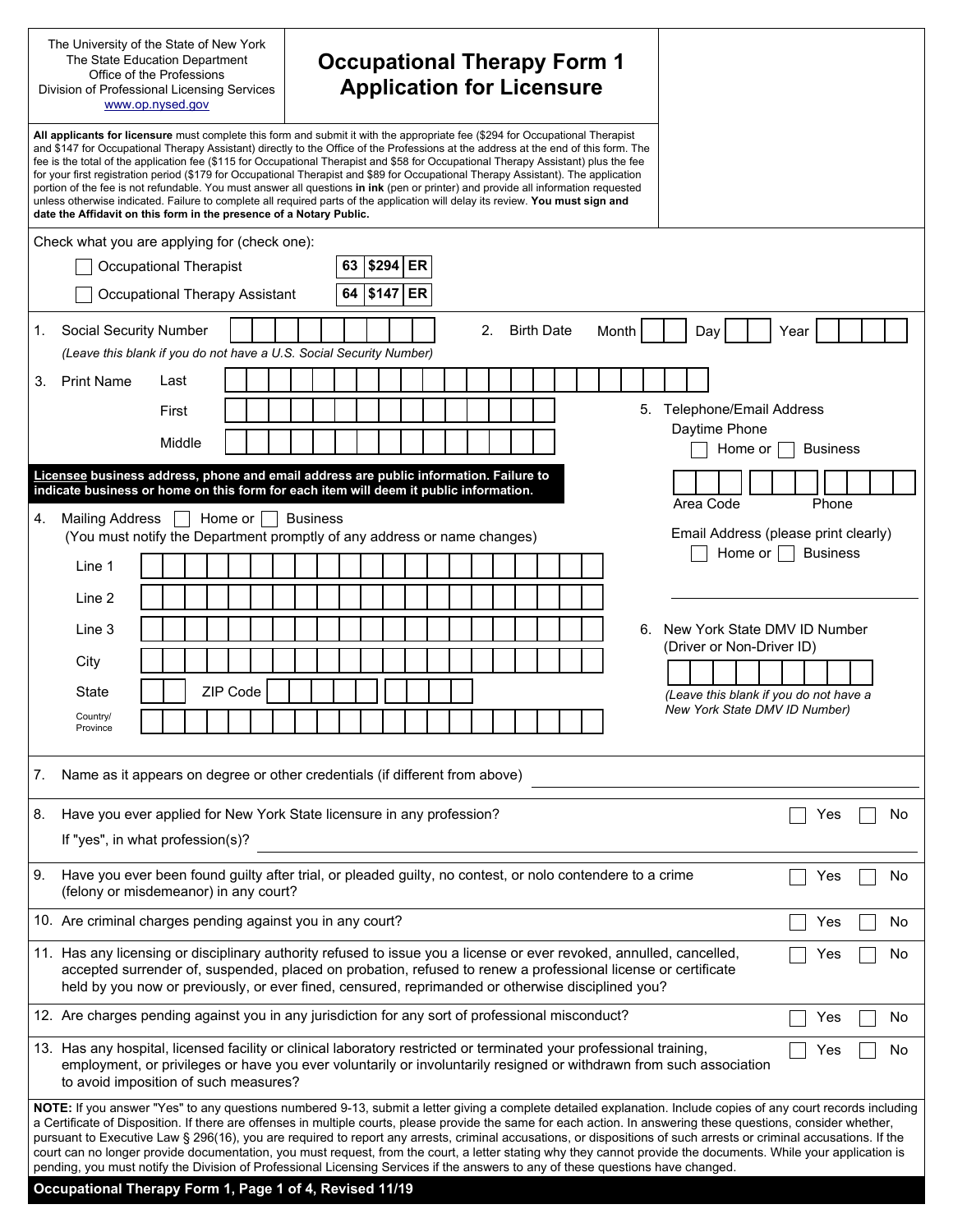| The University of the State of New York<br>The State Education Department<br>Office of the Professions<br>Division of Professional Licensing Services<br>www.op.nysed.gov |                                                                                                                                                                                                                                                                                                                                                                                                                                                                                                                                                                                                                                                                                                                                                                |  |        |  |  |          |  | <b>Occupational Therapy Form 1</b><br><b>Application for Licensure</b><br>All applicants for licensure must complete this form and submit it with the appropriate fee (\$294 for Occupational Therapist |  |                 |    |  |       |    |  |  |  |                |  |                   |  |       |    |                                                                                                                                                                                                                                                                                                                                                                                                                                                                                                                                                                                                                                                                             |      |                 |       |    |
|---------------------------------------------------------------------------------------------------------------------------------------------------------------------------|----------------------------------------------------------------------------------------------------------------------------------------------------------------------------------------------------------------------------------------------------------------------------------------------------------------------------------------------------------------------------------------------------------------------------------------------------------------------------------------------------------------------------------------------------------------------------------------------------------------------------------------------------------------------------------------------------------------------------------------------------------------|--|--------|--|--|----------|--|---------------------------------------------------------------------------------------------------------------------------------------------------------------------------------------------------------|--|-----------------|----|--|-------|----|--|--|--|----------------|--|-------------------|--|-------|----|-----------------------------------------------------------------------------------------------------------------------------------------------------------------------------------------------------------------------------------------------------------------------------------------------------------------------------------------------------------------------------------------------------------------------------------------------------------------------------------------------------------------------------------------------------------------------------------------------------------------------------------------------------------------------------|------|-----------------|-------|----|
|                                                                                                                                                                           | and \$147 for Occupational Therapy Assistant) directly to the Office of the Professions at the address at the end of this form. The<br>fee is the total of the application fee (\$115 for Occupational Therapist and \$58 for Occupational Therapy Assistant) plus the fee<br>for your first registration period (\$179 for Occupational Therapist and \$89 for Occupational Therapy Assistant). The application<br>portion of the fee is not refundable. You must answer all questions in ink (pen or printer) and provide all information requested<br>unless otherwise indicated. Failure to complete all required parts of the application will delay its review. You must sign and<br>date the Affidavit on this form in the presence of a Notary Public. |  |        |  |  |          |  |                                                                                                                                                                                                         |  |                 |    |  |       |    |  |  |  |                |  |                   |  |       |    |                                                                                                                                                                                                                                                                                                                                                                                                                                                                                                                                                                                                                                                                             |      |                 |       |    |
|                                                                                                                                                                           | Check what you are applying for (check one):                                                                                                                                                                                                                                                                                                                                                                                                                                                                                                                                                                                                                                                                                                                   |  |        |  |  |          |  |                                                                                                                                                                                                         |  |                 |    |  |       |    |  |  |  |                |  |                   |  |       |    |                                                                                                                                                                                                                                                                                                                                                                                                                                                                                                                                                                                                                                                                             |      |                 |       |    |
|                                                                                                                                                                           | <b>Occupational Therapist</b>                                                                                                                                                                                                                                                                                                                                                                                                                                                                                                                                                                                                                                                                                                                                  |  |        |  |  |          |  |                                                                                                                                                                                                         |  |                 | 63 |  | \$294 | ER |  |  |  |                |  |                   |  |       |    |                                                                                                                                                                                                                                                                                                                                                                                                                                                                                                                                                                                                                                                                             |      |                 |       |    |
|                                                                                                                                                                           | Occupational Therapy Assistant                                                                                                                                                                                                                                                                                                                                                                                                                                                                                                                                                                                                                                                                                                                                 |  |        |  |  |          |  |                                                                                                                                                                                                         |  |                 | 64 |  | \$147 | ER |  |  |  |                |  |                   |  |       |    |                                                                                                                                                                                                                                                                                                                                                                                                                                                                                                                                                                                                                                                                             |      |                 |       |    |
| 1.                                                                                                                                                                        | <b>Social Security Number</b><br>(Leave this blank if you do not have a U.S. Social Security Number)                                                                                                                                                                                                                                                                                                                                                                                                                                                                                                                                                                                                                                                           |  |        |  |  |          |  |                                                                                                                                                                                                         |  |                 |    |  |       |    |  |  |  | 2 <sup>2</sup> |  | <b>Birth Date</b> |  | Month |    | Day                                                                                                                                                                                                                                                                                                                                                                                                                                                                                                                                                                                                                                                                         | Year |                 |       |    |
| 3.                                                                                                                                                                        | <b>Print Name</b>                                                                                                                                                                                                                                                                                                                                                                                                                                                                                                                                                                                                                                                                                                                                              |  | Last   |  |  |          |  |                                                                                                                                                                                                         |  |                 |    |  |       |    |  |  |  |                |  |                   |  |       |    |                                                                                                                                                                                                                                                                                                                                                                                                                                                                                                                                                                                                                                                                             |      |                 |       |    |
|                                                                                                                                                                           |                                                                                                                                                                                                                                                                                                                                                                                                                                                                                                                                                                                                                                                                                                                                                                |  | First  |  |  |          |  |                                                                                                                                                                                                         |  |                 |    |  |       |    |  |  |  |                |  |                   |  |       | 5. | Telephone/Email Address                                                                                                                                                                                                                                                                                                                                                                                                                                                                                                                                                                                                                                                     |      |                 |       |    |
|                                                                                                                                                                           |                                                                                                                                                                                                                                                                                                                                                                                                                                                                                                                                                                                                                                                                                                                                                                |  | Middle |  |  |          |  |                                                                                                                                                                                                         |  |                 |    |  |       |    |  |  |  |                |  |                   |  |       |    | Daytime Phone<br>Home or                                                                                                                                                                                                                                                                                                                                                                                                                                                                                                                                                                                                                                                    |      | <b>Business</b> |       |    |
|                                                                                                                                                                           | Licensee business address, phone and email address are public information. Failure to                                                                                                                                                                                                                                                                                                                                                                                                                                                                                                                                                                                                                                                                          |  |        |  |  |          |  |                                                                                                                                                                                                         |  |                 |    |  |       |    |  |  |  |                |  |                   |  |       |    |                                                                                                                                                                                                                                                                                                                                                                                                                                                                                                                                                                                                                                                                             |      |                 |       |    |
|                                                                                                                                                                           | indicate business or home on this form for each item will deem it public information.                                                                                                                                                                                                                                                                                                                                                                                                                                                                                                                                                                                                                                                                          |  |        |  |  |          |  |                                                                                                                                                                                                         |  |                 |    |  |       |    |  |  |  |                |  |                   |  |       |    | Area Code                                                                                                                                                                                                                                                                                                                                                                                                                                                                                                                                                                                                                                                                   |      |                 | Phone |    |
| 4.                                                                                                                                                                        | <b>Mailing Address</b><br>(You must notify the Department promptly of any address or name changes)                                                                                                                                                                                                                                                                                                                                                                                                                                                                                                                                                                                                                                                             |  |        |  |  | Home or  |  |                                                                                                                                                                                                         |  | <b>Business</b> |    |  |       |    |  |  |  |                |  |                   |  |       |    | Email Address (please print clearly)                                                                                                                                                                                                                                                                                                                                                                                                                                                                                                                                                                                                                                        |      | <b>Business</b> |       |    |
|                                                                                                                                                                           | Line 1                                                                                                                                                                                                                                                                                                                                                                                                                                                                                                                                                                                                                                                                                                                                                         |  |        |  |  |          |  |                                                                                                                                                                                                         |  |                 |    |  |       |    |  |  |  |                |  |                   |  |       |    | Home or $ $                                                                                                                                                                                                                                                                                                                                                                                                                                                                                                                                                                                                                                                                 |      |                 |       |    |
|                                                                                                                                                                           | Line 2                                                                                                                                                                                                                                                                                                                                                                                                                                                                                                                                                                                                                                                                                                                                                         |  |        |  |  |          |  |                                                                                                                                                                                                         |  |                 |    |  |       |    |  |  |  |                |  |                   |  |       |    |                                                                                                                                                                                                                                                                                                                                                                                                                                                                                                                                                                                                                                                                             |      |                 |       |    |
|                                                                                                                                                                           | Line 3                                                                                                                                                                                                                                                                                                                                                                                                                                                                                                                                                                                                                                                                                                                                                         |  |        |  |  |          |  |                                                                                                                                                                                                         |  |                 |    |  |       |    |  |  |  |                |  |                   |  |       | 6. | New York State DMV ID Number                                                                                                                                                                                                                                                                                                                                                                                                                                                                                                                                                                                                                                                |      |                 |       |    |
|                                                                                                                                                                           | City                                                                                                                                                                                                                                                                                                                                                                                                                                                                                                                                                                                                                                                                                                                                                           |  |        |  |  |          |  |                                                                                                                                                                                                         |  |                 |    |  |       |    |  |  |  |                |  |                   |  |       |    | (Driver or Non-Driver ID)                                                                                                                                                                                                                                                                                                                                                                                                                                                                                                                                                                                                                                                   |      |                 |       |    |
|                                                                                                                                                                           | <b>State</b>                                                                                                                                                                                                                                                                                                                                                                                                                                                                                                                                                                                                                                                                                                                                                   |  |        |  |  | ZIP Code |  |                                                                                                                                                                                                         |  |                 |    |  |       |    |  |  |  |                |  |                   |  |       |    | (Leave this blank if you do not have a<br>New York State DMV ID Number)                                                                                                                                                                                                                                                                                                                                                                                                                                                                                                                                                                                                     |      |                 |       |    |
|                                                                                                                                                                           | Country/<br>Province                                                                                                                                                                                                                                                                                                                                                                                                                                                                                                                                                                                                                                                                                                                                           |  |        |  |  |          |  |                                                                                                                                                                                                         |  |                 |    |  |       |    |  |  |  |                |  |                   |  |       |    |                                                                                                                                                                                                                                                                                                                                                                                                                                                                                                                                                                                                                                                                             |      |                 |       |    |
| 7.                                                                                                                                                                        | Name as it appears on degree or other credentials (if different from above)                                                                                                                                                                                                                                                                                                                                                                                                                                                                                                                                                                                                                                                                                    |  |        |  |  |          |  |                                                                                                                                                                                                         |  |                 |    |  |       |    |  |  |  |                |  |                   |  |       |    |                                                                                                                                                                                                                                                                                                                                                                                                                                                                                                                                                                                                                                                                             |      |                 |       |    |
| 8.                                                                                                                                                                        | Have you ever applied for New York State licensure in any profession?                                                                                                                                                                                                                                                                                                                                                                                                                                                                                                                                                                                                                                                                                          |  |        |  |  |          |  |                                                                                                                                                                                                         |  |                 |    |  |       |    |  |  |  |                |  |                   |  |       |    |                                                                                                                                                                                                                                                                                                                                                                                                                                                                                                                                                                                                                                                                             |      | Yes             |       | No |
|                                                                                                                                                                           | If "yes", in what profession(s)?                                                                                                                                                                                                                                                                                                                                                                                                                                                                                                                                                                                                                                                                                                                               |  |        |  |  |          |  |                                                                                                                                                                                                         |  |                 |    |  |       |    |  |  |  |                |  |                   |  |       |    |                                                                                                                                                                                                                                                                                                                                                                                                                                                                                                                                                                                                                                                                             |      |                 |       |    |
| 9.                                                                                                                                                                        | Have you ever been found guilty after trial, or pleaded guilty, no contest, or nolo contendere to a crime<br>(felony or misdemeanor) in any court?                                                                                                                                                                                                                                                                                                                                                                                                                                                                                                                                                                                                             |  |        |  |  |          |  |                                                                                                                                                                                                         |  |                 |    |  |       |    |  |  |  |                |  |                   |  |       |    |                                                                                                                                                                                                                                                                                                                                                                                                                                                                                                                                                                                                                                                                             |      | Yes             |       | No |
|                                                                                                                                                                           | 10. Are criminal charges pending against you in any court?                                                                                                                                                                                                                                                                                                                                                                                                                                                                                                                                                                                                                                                                                                     |  |        |  |  |          |  |                                                                                                                                                                                                         |  |                 |    |  |       |    |  |  |  |                |  |                   |  |       |    |                                                                                                                                                                                                                                                                                                                                                                                                                                                                                                                                                                                                                                                                             |      | Yes             |       | No |
|                                                                                                                                                                           | 11. Has any licensing or disciplinary authority refused to issue you a license or ever revoked, annulled, cancelled,<br>Yes<br>No<br>accepted surrender of, suspended, placed on probation, refused to renew a professional license or certificate<br>held by you now or previously, or ever fined, censured, reprimanded or otherwise disciplined you?                                                                                                                                                                                                                                                                                                                                                                                                        |  |        |  |  |          |  |                                                                                                                                                                                                         |  |                 |    |  |       |    |  |  |  |                |  |                   |  |       |    |                                                                                                                                                                                                                                                                                                                                                                                                                                                                                                                                                                                                                                                                             |      |                 |       |    |
|                                                                                                                                                                           |                                                                                                                                                                                                                                                                                                                                                                                                                                                                                                                                                                                                                                                                                                                                                                |  |        |  |  |          |  |                                                                                                                                                                                                         |  |                 |    |  |       |    |  |  |  |                |  |                   |  |       |    |                                                                                                                                                                                                                                                                                                                                                                                                                                                                                                                                                                                                                                                                             |      | Yes             |       | No |
|                                                                                                                                                                           | 12. Are charges pending against you in any jurisdiction for any sort of professional misconduct?<br>13. Has any hospital, licensed facility or clinical laboratory restricted or terminated your professional training,<br>No<br>Yes<br>employment, or privileges or have you ever voluntarily or involuntarily resigned or withdrawn from such association<br>to avoid imposition of such measures?                                                                                                                                                                                                                                                                                                                                                           |  |        |  |  |          |  |                                                                                                                                                                                                         |  |                 |    |  |       |    |  |  |  |                |  |                   |  |       |    |                                                                                                                                                                                                                                                                                                                                                                                                                                                                                                                                                                                                                                                                             |      |                 |       |    |
|                                                                                                                                                                           | pending, you must notify the Division of Professional Licensing Services if the answers to any of these questions have changed.<br>Occupational Therapy Form 1, Page 1 of 4, Revised 11/19                                                                                                                                                                                                                                                                                                                                                                                                                                                                                                                                                                     |  |        |  |  |          |  |                                                                                                                                                                                                         |  |                 |    |  |       |    |  |  |  |                |  |                   |  |       |    | NOTE: If you answer "Yes" to any questions numbered 9-13, submit a letter giving a complete detailed explanation. Include copies of any court records including<br>a Certificate of Disposition. If there are offenses in multiple courts, please provide the same for each action. In answering these questions, consider whether,<br>pursuant to Executive Law § 296(16), you are required to report any arrests, criminal accusations, or dispositions of such arrests or criminal accusations. If the<br>court can no longer provide documentation, you must request, from the court, a letter stating why they cannot provide the documents. While your application is |      |                 |       |    |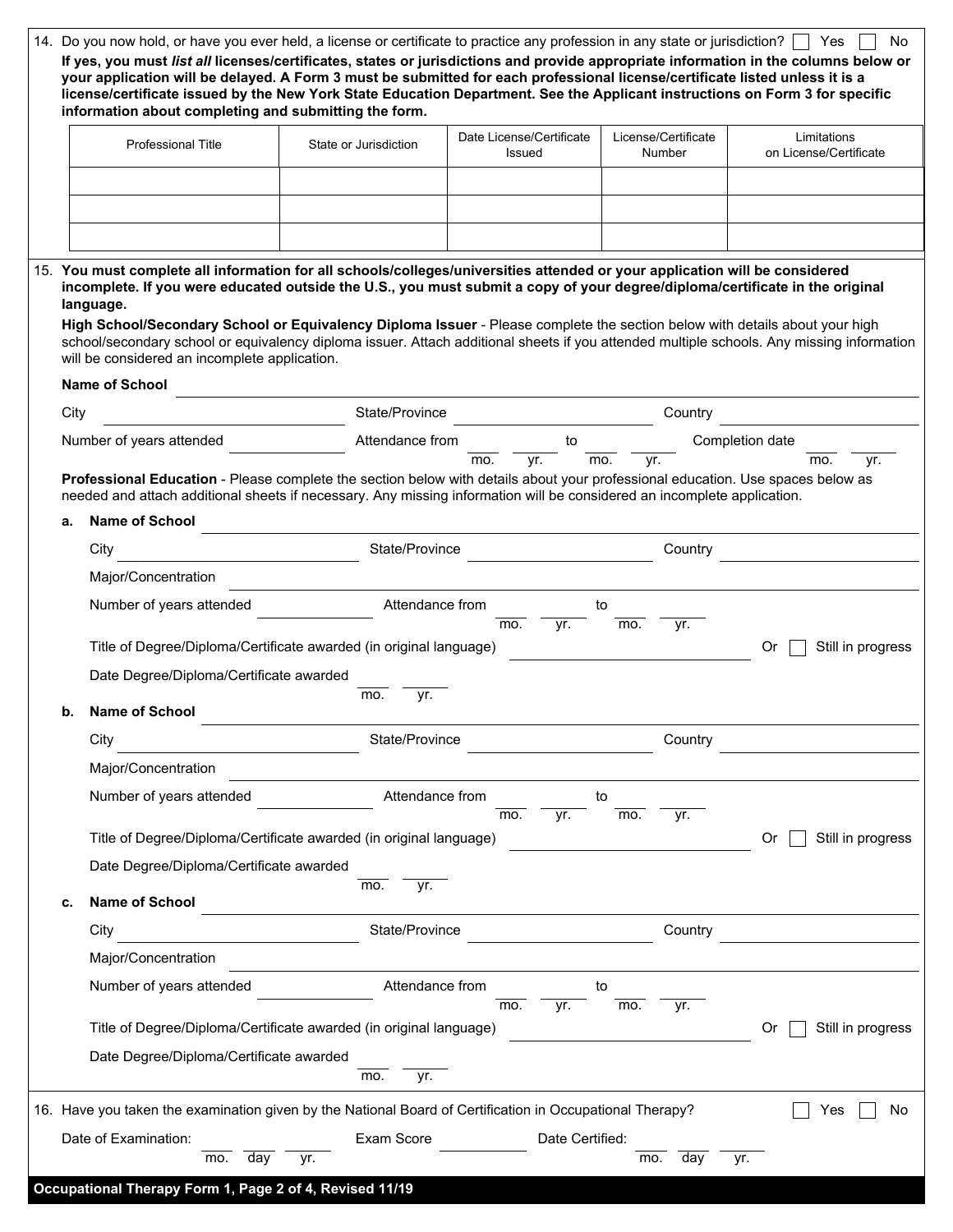|      | 14. Do you now hold, or have you ever held, a license or certificate to practice any profession in any state or jurisdiction? Thes<br>If yes, you must list all licenses/certificates, states or jurisdictions and provide appropriate information in the columns below or<br>your application will be delayed. A Form 3 must be submitted for each professional license/certificate listed unless it is a<br>license/certificate issued by the New York State Education Department. See the Applicant instructions on Form 3 for specific<br>information about completing and submitting the form. |                       |                                    |                               | No                                                                                                                                        |
|------|-----------------------------------------------------------------------------------------------------------------------------------------------------------------------------------------------------------------------------------------------------------------------------------------------------------------------------------------------------------------------------------------------------------------------------------------------------------------------------------------------------------------------------------------------------------------------------------------------------|-----------------------|------------------------------------|-------------------------------|-------------------------------------------------------------------------------------------------------------------------------------------|
|      | Professional Title                                                                                                                                                                                                                                                                                                                                                                                                                                                                                                                                                                                  | State or Jurisdiction | Date License/Certificate<br>Issued | License/Certificate<br>Number | Limitations<br>on License/Certificate                                                                                                     |
|      |                                                                                                                                                                                                                                                                                                                                                                                                                                                                                                                                                                                                     |                       |                                    |                               |                                                                                                                                           |
|      |                                                                                                                                                                                                                                                                                                                                                                                                                                                                                                                                                                                                     |                       |                                    |                               |                                                                                                                                           |
|      |                                                                                                                                                                                                                                                                                                                                                                                                                                                                                                                                                                                                     |                       |                                    |                               |                                                                                                                                           |
|      | 15. You must complete all information for all schools/colleges/universities attended or your application will be considered<br>incomplete. If you were educated outside the U.S., you must submit a copy of your degree/diploma/certificate in the original<br>language.<br>High School/Secondary School or Equivalency Diploma Issuer - Please complete the section below with details about your high<br>will be considered an incomplete application.                                                                                                                                            |                       |                                    |                               | school/secondary school or equivalency diploma issuer. Attach additional sheets if you attended multiple schools. Any missing information |
|      | Name of School                                                                                                                                                                                                                                                                                                                                                                                                                                                                                                                                                                                      |                       |                                    |                               |                                                                                                                                           |
| City |                                                                                                                                                                                                                                                                                                                                                                                                                                                                                                                                                                                                     | State/Province        |                                    | Country                       |                                                                                                                                           |
|      | Number of years attended                                                                                                                                                                                                                                                                                                                                                                                                                                                                                                                                                                            | Attendance from       | to<br>mo.<br>yr.                   | mo.<br>yr.                    | Completion date<br>mo.<br>yr.                                                                                                             |
|      | Professional Education - Please complete the section below with details about your professional education. Use spaces below as<br>needed and attach additional sheets if necessary. Any missing information will be considered an incomplete application.                                                                                                                                                                                                                                                                                                                                           |                       |                                    |                               |                                                                                                                                           |
| а.   | <b>Name of School</b>                                                                                                                                                                                                                                                                                                                                                                                                                                                                                                                                                                               |                       |                                    |                               |                                                                                                                                           |
|      | City                                                                                                                                                                                                                                                                                                                                                                                                                                                                                                                                                                                                | State/Province        |                                    | Country                       |                                                                                                                                           |
|      | Major/Concentration                                                                                                                                                                                                                                                                                                                                                                                                                                                                                                                                                                                 |                       |                                    |                               |                                                                                                                                           |
|      | Number of years attended                                                                                                                                                                                                                                                                                                                                                                                                                                                                                                                                                                            | Attendance from       | mo.<br>yr.                         | to<br>mo.<br>yr.              |                                                                                                                                           |
|      | Title of Degree/Diploma/Certificate awarded (in original language)                                                                                                                                                                                                                                                                                                                                                                                                                                                                                                                                  |                       |                                    |                               | Still in progress<br>0r                                                                                                                   |
|      | Date Degree/Diploma/Certificate awarded                                                                                                                                                                                                                                                                                                                                                                                                                                                                                                                                                             |                       |                                    |                               |                                                                                                                                           |
| b.   | <b>Name of School</b>                                                                                                                                                                                                                                                                                                                                                                                                                                                                                                                                                                               | mo.<br>yr.            |                                    |                               |                                                                                                                                           |
|      | City                                                                                                                                                                                                                                                                                                                                                                                                                                                                                                                                                                                                | State/Province        |                                    | Country                       |                                                                                                                                           |
|      | Major/Concentration                                                                                                                                                                                                                                                                                                                                                                                                                                                                                                                                                                                 |                       |                                    |                               |                                                                                                                                           |
|      | Number of years attended                                                                                                                                                                                                                                                                                                                                                                                                                                                                                                                                                                            | Attendance from       |                                    | to                            |                                                                                                                                           |
|      | Title of Degree/Diploma/Certificate awarded (in original language)                                                                                                                                                                                                                                                                                                                                                                                                                                                                                                                                  |                       | mo.<br>yr.                         | mo.<br>yr.                    | Still in progress<br>0r                                                                                                                   |
|      | Date Degree/Diploma/Certificate awarded                                                                                                                                                                                                                                                                                                                                                                                                                                                                                                                                                             |                       |                                    |                               |                                                                                                                                           |
| С.   | Name of School                                                                                                                                                                                                                                                                                                                                                                                                                                                                                                                                                                                      | mo.<br>yr.            |                                    |                               |                                                                                                                                           |
|      | City                                                                                                                                                                                                                                                                                                                                                                                                                                                                                                                                                                                                | State/Province        |                                    | Country                       |                                                                                                                                           |
|      | Major/Concentration                                                                                                                                                                                                                                                                                                                                                                                                                                                                                                                                                                                 |                       |                                    |                               |                                                                                                                                           |
|      | Number of years attended                                                                                                                                                                                                                                                                                                                                                                                                                                                                                                                                                                            | Attendance from       |                                    | to                            |                                                                                                                                           |
|      |                                                                                                                                                                                                                                                                                                                                                                                                                                                                                                                                                                                                     |                       | mo.<br>yr.                         | mo.<br>yr.                    |                                                                                                                                           |
|      | Title of Degree/Diploma/Certificate awarded (in original language)                                                                                                                                                                                                                                                                                                                                                                                                                                                                                                                                  |                       |                                    |                               | Still in progress<br>Or                                                                                                                   |
|      | Date Degree/Diploma/Certificate awarded                                                                                                                                                                                                                                                                                                                                                                                                                                                                                                                                                             | mo.<br>yr.            |                                    |                               |                                                                                                                                           |
|      | 16. Have you taken the examination given by the National Board of Certification in Occupational Therapy?                                                                                                                                                                                                                                                                                                                                                                                                                                                                                            |                       |                                    |                               | No.<br>Yes                                                                                                                                |
|      | Date of Examination:                                                                                                                                                                                                                                                                                                                                                                                                                                                                                                                                                                                | Exam Score            | Date Certified:                    |                               |                                                                                                                                           |
|      | day<br>mo.                                                                                                                                                                                                                                                                                                                                                                                                                                                                                                                                                                                          | yr.                   |                                    | mo.<br>day                    | yr.                                                                                                                                       |
|      | Occupational Therapy Form 1, Page 2 of 4, Revised 11/19                                                                                                                                                                                                                                                                                                                                                                                                                                                                                                                                             |                       |                                    |                               |                                                                                                                                           |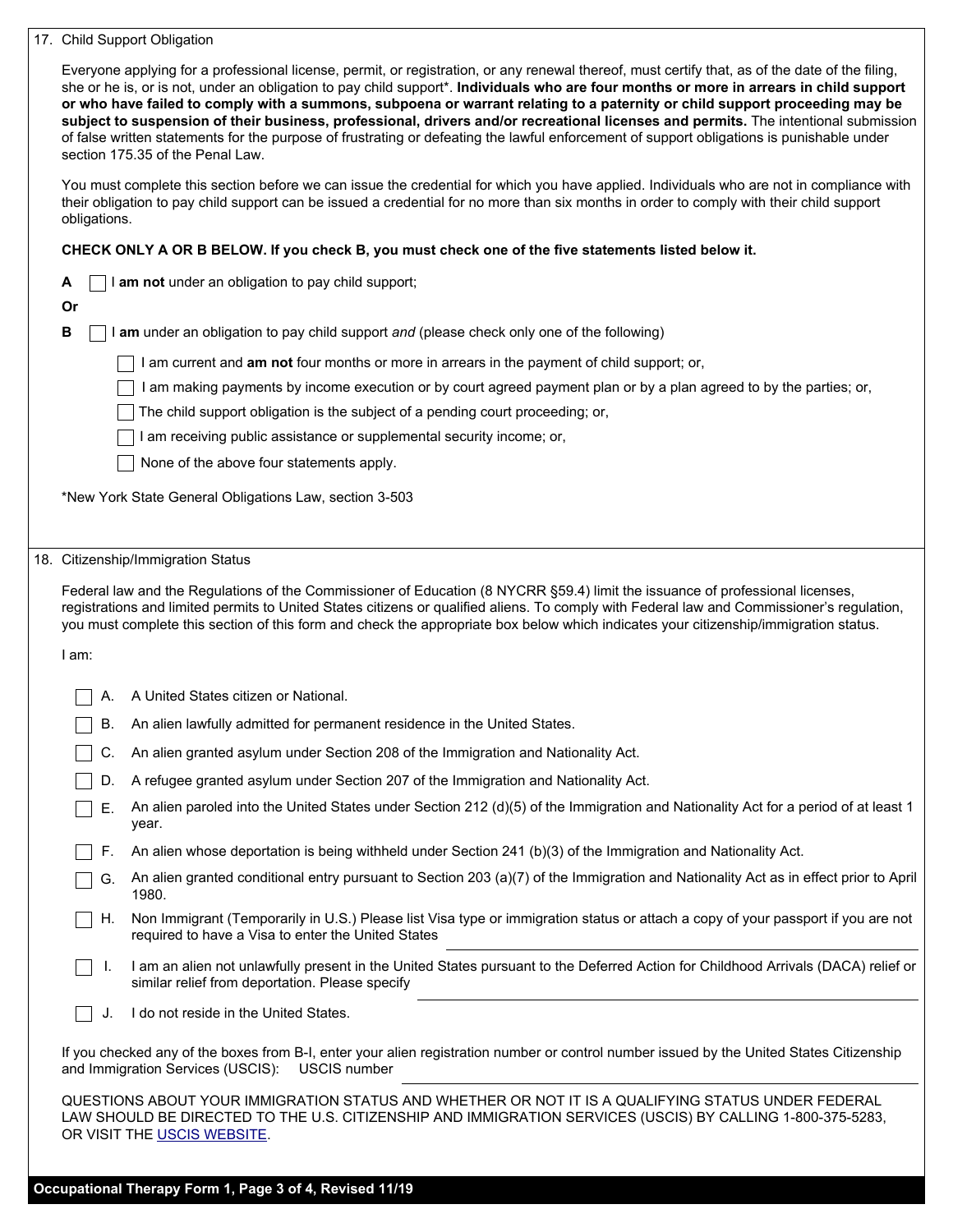| 17. Child Support Obligation |  |
|------------------------------|--|
|                              |  |

|              | Everyone applying for a professional license, permit, or registration, or any renewal thereof, must certify that, as of the date of the filing,<br>she or he is, or is not, under an obligation to pay child support*. Individuals who are four months or more in arrears in child support<br>or who have failed to comply with a summons, subpoena or warrant relating to a paternity or child support proceeding may be<br>subject to suspension of their business, professional, drivers and/or recreational licenses and permits. The intentional submission<br>of false written statements for the purpose of frustrating or defeating the lawful enforcement of support obligations is punishable under<br>section 175.35 of the Penal Law. |
|--------------|---------------------------------------------------------------------------------------------------------------------------------------------------------------------------------------------------------------------------------------------------------------------------------------------------------------------------------------------------------------------------------------------------------------------------------------------------------------------------------------------------------------------------------------------------------------------------------------------------------------------------------------------------------------------------------------------------------------------------------------------------|
| obligations. | You must complete this section before we can issue the credential for which you have applied. Individuals who are not in compliance with<br>their obligation to pay child support can be issued a credential for no more than six months in order to comply with their child support                                                                                                                                                                                                                                                                                                                                                                                                                                                              |
|              | CHECK ONLY A OR B BELOW. If you check B, you must check one of the five statements listed below it.                                                                                                                                                                                                                                                                                                                                                                                                                                                                                                                                                                                                                                               |
| A            | I am not under an obligation to pay child support;                                                                                                                                                                                                                                                                                                                                                                                                                                                                                                                                                                                                                                                                                                |
| Or           |                                                                                                                                                                                                                                                                                                                                                                                                                                                                                                                                                                                                                                                                                                                                                   |
| В            | I am under an obligation to pay child support and (please check only one of the following)                                                                                                                                                                                                                                                                                                                                                                                                                                                                                                                                                                                                                                                        |
|              | I am current and am not four months or more in arrears in the payment of child support; or,                                                                                                                                                                                                                                                                                                                                                                                                                                                                                                                                                                                                                                                       |
|              | I am making payments by income execution or by court agreed payment plan or by a plan agreed to by the parties; or,                                                                                                                                                                                                                                                                                                                                                                                                                                                                                                                                                                                                                               |
|              | The child support obligation is the subject of a pending court proceeding; or,                                                                                                                                                                                                                                                                                                                                                                                                                                                                                                                                                                                                                                                                    |
|              | I am receiving public assistance or supplemental security income; or,                                                                                                                                                                                                                                                                                                                                                                                                                                                                                                                                                                                                                                                                             |
|              | None of the above four statements apply.                                                                                                                                                                                                                                                                                                                                                                                                                                                                                                                                                                                                                                                                                                          |
|              | *New York State General Obligations Law, section 3-503                                                                                                                                                                                                                                                                                                                                                                                                                                                                                                                                                                                                                                                                                            |
|              |                                                                                                                                                                                                                                                                                                                                                                                                                                                                                                                                                                                                                                                                                                                                                   |
|              | 18. Citizenship/Immigration Status                                                                                                                                                                                                                                                                                                                                                                                                                                                                                                                                                                                                                                                                                                                |
|              | Federal law and the Regulations of the Commissioner of Education (8 NYCRR §59.4) limit the issuance of professional licenses,<br>registrations and limited permits to United States citizens or qualified aliens. To comply with Federal law and Commissioner's regulation,<br>you must complete this section of this form and check the appropriate box below which indicates your citizenship/immigration status.                                                                                                                                                                                                                                                                                                                               |
|              |                                                                                                                                                                                                                                                                                                                                                                                                                                                                                                                                                                                                                                                                                                                                                   |
| I am:        |                                                                                                                                                                                                                                                                                                                                                                                                                                                                                                                                                                                                                                                                                                                                                   |
| А.           | A United States citizen or National.                                                                                                                                                                                                                                                                                                                                                                                                                                                                                                                                                                                                                                                                                                              |
| В.           | An alien lawfully admitted for permanent residence in the United States.                                                                                                                                                                                                                                                                                                                                                                                                                                                                                                                                                                                                                                                                          |
| С.           | An alien granted asylum under Section 208 of the Immigration and Nationality Act.                                                                                                                                                                                                                                                                                                                                                                                                                                                                                                                                                                                                                                                                 |
| D.           | A refugee granted asylum under Section 207 of the Immigration and Nationality Act.                                                                                                                                                                                                                                                                                                                                                                                                                                                                                                                                                                                                                                                                |
| Е.           | An alien paroled into the United States under Section 212 (d)(5) of the Immigration and Nationality Act for a period of at least 1<br>year.                                                                                                                                                                                                                                                                                                                                                                                                                                                                                                                                                                                                       |
| F.           | An alien whose deportation is being withheld under Section 241 (b)(3) of the Immigration and Nationality Act.                                                                                                                                                                                                                                                                                                                                                                                                                                                                                                                                                                                                                                     |
| G.           | An alien granted conditional entry pursuant to Section 203 (a)(7) of the Immigration and Nationality Act as in effect prior to April<br>1980.                                                                                                                                                                                                                                                                                                                                                                                                                                                                                                                                                                                                     |
| Η.           | Non Immigrant (Temporarily in U.S.) Please list Visa type or immigration status or attach a copy of your passport if you are not<br>required to have a Visa to enter the United States                                                                                                                                                                                                                                                                                                                                                                                                                                                                                                                                                            |
| I.           | I am an alien not unlawfully present in the United States pursuant to the Deferred Action for Childhood Arrivals (DACA) relief or<br>similar relief from deportation. Please specify                                                                                                                                                                                                                                                                                                                                                                                                                                                                                                                                                              |
| J.           | I do not reside in the United States.                                                                                                                                                                                                                                                                                                                                                                                                                                                                                                                                                                                                                                                                                                             |
|              | If you checked any of the boxes from B-I, enter your alien registration number or control number issued by the United States Citizenship<br>and Immigration Services (USCIS):<br><b>USCIS number</b>                                                                                                                                                                                                                                                                                                                                                                                                                                                                                                                                              |
|              | QUESTIONS ABOUT YOUR IMMIGRATION STATUS AND WHETHER OR NOT IT IS A QUALIFYING STATUS UNDER FEDERAL<br>LAW SHOULD BE DIRECTED TO THE U.S. CITIZENSHIP AND IMMIGRATION SERVICES (USCIS) BY CALLING 1-800-375-5283,<br>OR VISIT THE USCIS WEBSITE.                                                                                                                                                                                                                                                                                                                                                                                                                                                                                                   |